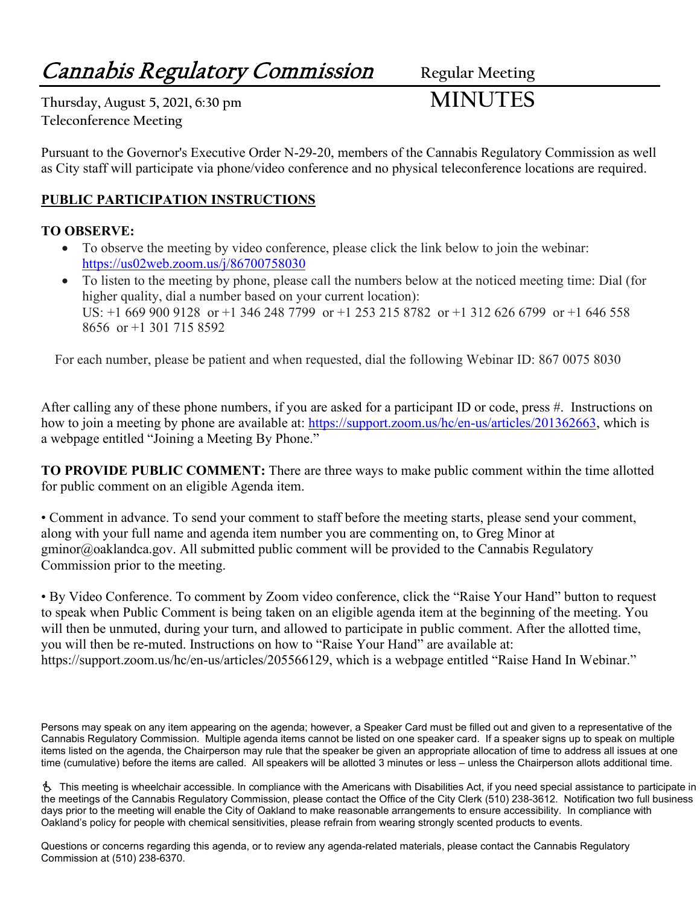# **Cannabis Regulatory Commission** Regular Meeting

**Thursday, August 5, 2021, 6:30 pm MINUTES Teleconference Meeting**

Pursuant to the Governor's Executive Order N-29-20, members of the Cannabis Regulatory Commission as well as City staff will participate via phone/video conference and no physical teleconference locations are required.

## **PUBLIC PARTICIPATION INSTRUCTIONS**

## **TO OBSERVE:**

- To observe the meeting by video conference, please click the link below to join the webinar: <https://us02web.zoom.us/j/86700758030>
- To listen to the meeting by phone, please call the numbers below at the noticed meeting time: Dial (for higher quality, dial a number based on your current location): US: +1 669 900 9128 or +1 346 248 7799 or +1 253 215 8782 or +1 312 626 6799 or +1 646 558 8656 or +1 301 715 8592

For each number, please be patient and when requested, dial the following Webinar ID: 867 0075 8030

After calling any of these phone numbers, if you are asked for a participant ID or code, press #. Instructions on how to join a meeting by phone are available at: [https://support.zoom.us/hc/en-us/articles/201362663,](https://support.zoom.us/hc/en-us/articles/201362663) which is a webpage entitled "Joining a Meeting By Phone."

**TO PROVIDE PUBLIC COMMENT:** There are three ways to make public comment within the time allotted for public comment on an eligible Agenda item.

• Comment in advance. To send your comment to staff before the meeting starts, please send your comment, along with your full name and agenda item number you are commenting on, to Greg Minor at gminor@oaklandca.gov. All submitted public comment will be provided to the Cannabis Regulatory Commission prior to the meeting.

• By Video Conference. To comment by Zoom video conference, click the "Raise Your Hand" button to request to speak when Public Comment is being taken on an eligible agenda item at the beginning of the meeting. You will then be unmuted, during your turn, and allowed to participate in public comment. After the allotted time, you will then be re-muted. Instructions on how to "Raise Your Hand" are available at: https://support.zoom.us/hc/en-us/articles/205566129, which is a webpage entitled "Raise Hand In Webinar."

Persons may speak on any item appearing on the agenda; however, a Speaker Card must be filled out and given to a representative of the Cannabis Regulatory Commission. Multiple agenda items cannot be listed on one speaker card. If a speaker signs up to speak on multiple items listed on the agenda, the Chairperson may rule that the speaker be given an appropriate allocation of time to address all issues at one time (cumulative) before the items are called. All speakers will be allotted 3 minutes or less – unless the Chairperson allots additional time.

 This meeting is wheelchair accessible. In compliance with the Americans with Disabilities Act, if you need special assistance to participate in the meetings of the Cannabis Regulatory Commission, please contact the Office of the City Clerk (510) 238-3612. Notification two full business days prior to the meeting will enable the City of Oakland to make reasonable arrangements to ensure accessibility. In compliance with Oakland's policy for people with chemical sensitivities, please refrain from wearing strongly scented products to events.

Questions or concerns regarding this agenda, or to review any agenda-related materials, please contact the Cannabis Regulatory Commission at (510) 238-6370.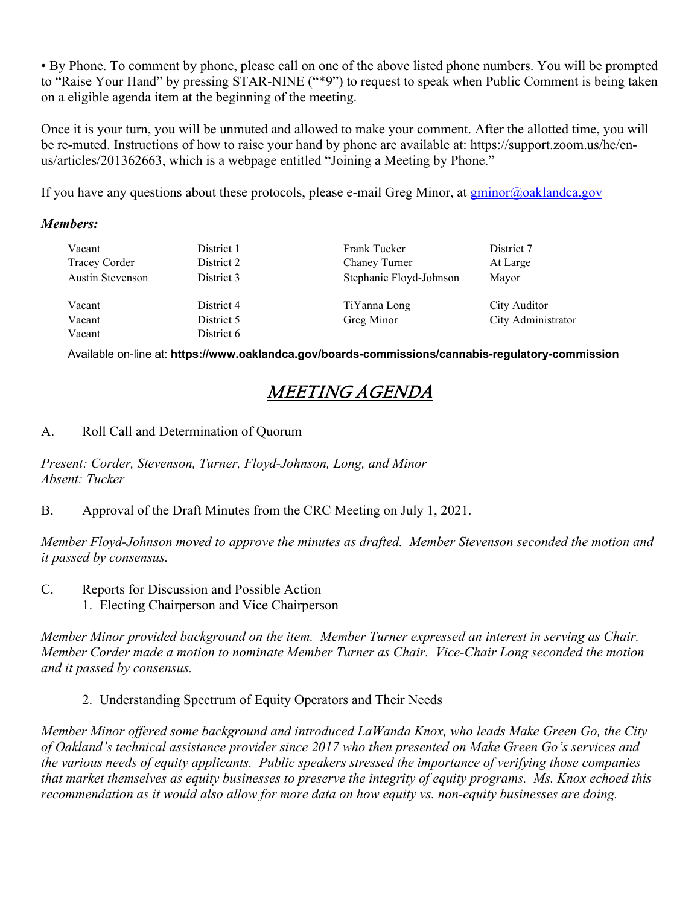• By Phone. To comment by phone, please call on one of the above listed phone numbers. You will be prompted to "Raise Your Hand" by pressing STAR-NINE ("\*9") to request to speak when Public Comment is being taken on a eligible agenda item at the beginning of the meeting.

Once it is your turn, you will be unmuted and allowed to make your comment. After the allotted time, you will be re-muted. Instructions of how to raise your hand by phone are available at: https://support.zoom.us/hc/enus/articles/201362663, which is a webpage entitled "Joining a Meeting by Phone."

If you have any questions about these protocols, please e-mail Greg Minor, at [gminor@oaklandca.gov](mailto:gminor@oaklandca.gov)

### *Members:*

| Vacant               | District 1 | Frank Tucker            | District 7         |
|----------------------|------------|-------------------------|--------------------|
| <b>Tracey Corder</b> | District 2 | Chaney Turner           | At Large           |
| Austin Stevenson     | District 3 | Stephanie Floyd-Johnson | Mayor              |
| Vacant               | District 4 | TiYanna Long            | City Auditor       |
|                      |            |                         |                    |
| Vacant               | District 5 | Greg Minor              | City Administrator |
| Vacant               | District 6 |                         |                    |

Available on-line at: **https://www.oaklandca.gov/boards-commissions/cannabis-regulatory-commission**

## MEETING AGENDA

A. Roll Call and Determination of Quorum

*Present: Corder, Stevenson, Turner, Floyd-Johnson, Long, and Minor Absent: Tucker*

B. Approval of the Draft Minutes from the CRC Meeting on July 1, 2021.

*Member Floyd-Johnson moved to approve the minutes as drafted. Member Stevenson seconded the motion and it passed by consensus.*

- C. Reports for Discussion and Possible Action
	- 1. Electing Chairperson and Vice Chairperson

*Member Minor provided background on the item. Member Turner expressed an interest in serving as Chair. Member Corder made a motion to nominate Member Turner as Chair. Vice-Chair Long seconded the motion and it passed by consensus.*

2. Understanding Spectrum of Equity Operators and Their Needs

*Member Minor offered some background and introduced LaWanda Knox, who leads Make Green Go, the City of Oakland's technical assistance provider since 2017 who then presented on Make Green Go's services and the various needs of equity applicants. Public speakers stressed the importance of verifying those companies that market themselves as equity businesses to preserve the integrity of equity programs. Ms. Knox echoed this recommendation as it would also allow for more data on how equity vs. non-equity businesses are doing.*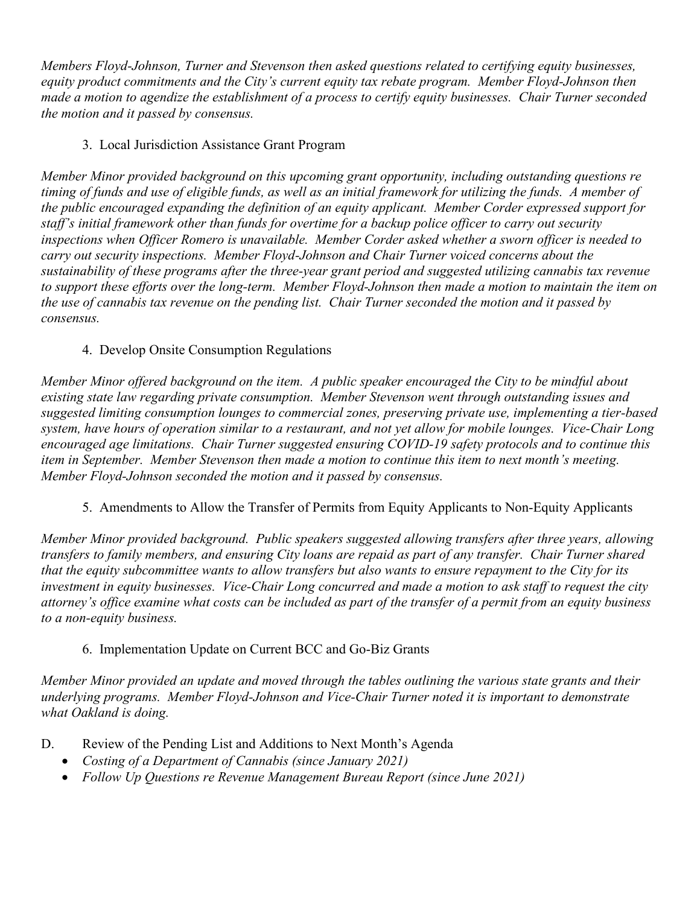*Members Floyd-Johnson, Turner and Stevenson then asked questions related to certifying equity businesses, equity product commitments and the City's current equity tax rebate program. Member Floyd-Johnson then made a motion to agendize the establishment of a process to certify equity businesses. Chair Turner seconded the motion and it passed by consensus.*

## 3. Local Jurisdiction Assistance Grant Program

*Member Minor provided background on this upcoming grant opportunity, including outstanding questions re timing of funds and use of eligible funds, as well as an initial framework for utilizing the funds. A member of the public encouraged expanding the definition of an equity applicant. Member Corder expressed support for staff's initial framework other than funds for overtime for a backup police officer to carry out security inspections when Officer Romero is unavailable. Member Corder asked whether a sworn officer is needed to carry out security inspections. Member Floyd-Johnson and Chair Turner voiced concerns about the sustainability of these programs after the three-year grant period and suggested utilizing cannabis tax revenue to support these efforts over the long-term. Member Floyd-Johnson then made a motion to maintain the item on the use of cannabis tax revenue on the pending list. Chair Turner seconded the motion and it passed by consensus.*

## 4. Develop Onsite Consumption Regulations

*Member Minor offered background on the item. A public speaker encouraged the City to be mindful about existing state law regarding private consumption. Member Stevenson went through outstanding issues and suggested limiting consumption lounges to commercial zones, preserving private use, implementing a tier-based system, have hours of operation similar to a restaurant, and not yet allow for mobile lounges. Vice-Chair Long encouraged age limitations. Chair Turner suggested ensuring COVID-19 safety protocols and to continue this item in September. Member Stevenson then made a motion to continue this item to next month's meeting. Member Floyd-Johnson seconded the motion and it passed by consensus.*

## 5. Amendments to Allow the Transfer of Permits from Equity Applicants to Non-Equity Applicants

*Member Minor provided background. Public speakers suggested allowing transfers after three years, allowing transfers to family members, and ensuring City loans are repaid as part of any transfer. Chair Turner shared that the equity subcommittee wants to allow transfers but also wants to ensure repayment to the City for its investment in equity businesses. Vice-Chair Long concurred and made a motion to ask staff to request the city attorney's office examine what costs can be included as part of the transfer of a permit from an equity business to a non-equity business.*

## 6. Implementation Update on Current BCC and Go-Biz Grants

*Member Minor provided an update and moved through the tables outlining the various state grants and their underlying programs. Member Floyd-Johnson and Vice-Chair Turner noted it is important to demonstrate what Oakland is doing.*

- D. Review of the Pending List and Additions to Next Month's Agenda
	- *Costing of a Department of Cannabis (since January 2021)*
	- *Follow Up Questions re Revenue Management Bureau Report (since June 2021)*